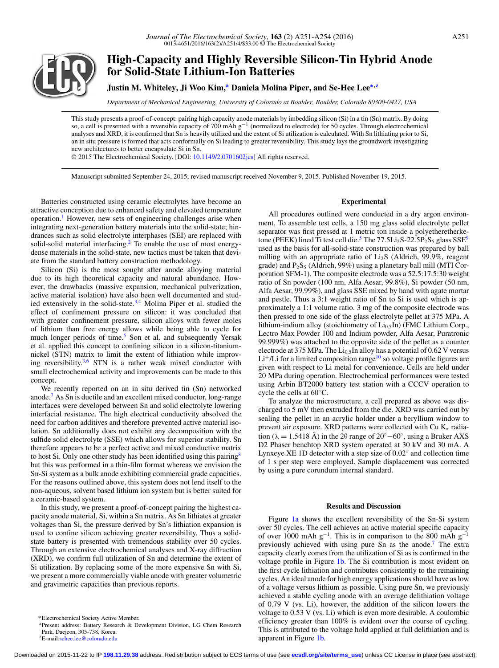

# **High-Capacity and Highly Reversible Silicon-Tin Hybrid Anode for Solid-State Lithium-Ion Batteries**

## **Justin M. Whiteley, Ji Woo Kim,<sup>a</sup> Daniela Molina Piper, and Se-Hee Lee<sup>\*[,z](#page-0-2)</sup>**

*Department of Mechanical Engineering, University of Colorado at Boulder, Boulder, Colorado 80300-0427, USA*

This study presents a proof-of-concept: pairing high capacity anode materials by imbedding silicon (Si) in a tin (Sn) matrix. By doing so, a cell is presented with a reversible capacity of 700 mAh  $g^{-1}$  (normalized to electrode) for 50 cycles. Through electrochemical analyses and XRD, it is confirmed that Sn is heavily utilized and the extent of Si utilization is calculated. With Sn lithiating prior to Si, an in situ pressure is formed that acts conformally on Si leading to greater reversibility. This study lays the groundwork investigating new architectures to better encapsulate Si in Sn.

© 2015 The Electrochemical Society. [DOI: [10.1149/2.0701602jes\]](http://dx.doi.org/10.1149/2.0701602jes) All rights reserved.

Manuscript submitted September 24, 2015; revised manuscript received November 9, 2015. Published November 19, 2015.

Batteries constructed using ceramic electrolytes have become an attractive conception due to enhanced safety and elevated temperature operation.<sup>[1](#page-3-0)</sup> However, new sets of engineering challenges arise when integrating next-generation battery materials into the solid-state; hindrances such as solid electrolyte interphases (SEI) are replaced with solid-solid material interfacing.<sup>2</sup> To enable the use of most energydense materials in the solid-state, new tactics must be taken that deviate from the standard battery construction methodology.

Silicon (Si) is the most sought after anode alloying material due to its high theoretical capacity and natural abundance. However, the drawbacks (massive expansion, mechanical pulverization, active material isolation) have also been well documented and stud-ied extensively in the solid-state.<sup>3[,4](#page-3-3)</sup> Molina Piper et al. studied the effect of confinement pressure on silicon: it was concluded that with greater confinement pressure, silicon alloys with fewer moles of lithium than free energy allows while being able to cycle for much longer periods of time.<sup>5</sup> Son et al. and subsequently Yersak et al. applied this concept to confining silicon in a silicon-titaniumnickel (STN) matrix to limit the extent of lithiation while improv-ing reversibility.<sup>[3,](#page-3-2)[6](#page-3-5)</sup> STN is a rather weak mixed conductor with small electrochemical activity and improvements can be made to this concept.

We recently reported on an in situ derived tin (Sn) networked anode. $<sup>7</sup>$  As Sn is ductile and an excellent mixed conductor, long-range</sup> interfaces were developed between Sn and solid electrolyte lowering interfacial resistance. The high electrical conductivity absolved the need for carbon additives and therefore prevented active material isolation. Sn additionally does not exhibit any decomposition with the sulfide solid electrolyte (SSE) which allows for superior stability. Sn therefore appears to be a perfect active and mixed conductive matrix to host Si. Only one other study has been identified using this pairing<sup>[8](#page-3-7)</sup> but this was performed in a thin-film format whereas we envision the Sn-Si system as a bulk anode exhibiting commercial grade capacities. For the reasons outlined above, this system does not lend itself to the non-aqueous, solvent based lithium ion system but is better suited for a ceramic-based system.

In this study, we present a proof-of-concept pairing the highest capacity anode material, Si, within a Sn matrix. As Sn lithiates at greater voltages than Si, the pressure derived by Sn's lithiation expansion is used to confine silicon achieving greater reversibility. Thus a solidstate battery is presented with tremendous stability over 50 cycles. Through an extensive electrochemical analyses and X-ray diffraction (XRD), we confirm full utilization of Sn and determine the extent of Si utilization. By replacing some of the more expensive Sn with Si, we present a more commercially viable anode with greater volumetric and gravimetric capacities than previous reports.

#### **Experimental**

All procedures outlined were conducted in a dry argon environment. To assemble test cells, a 150 mg glass solid electrolyte pellet separator was first pressed at 1 metric ton inside a polyetheretherke-tone (PEEK) lined Ti test cell die.<sup>5</sup> The 77[.5](#page-3-4)Li<sub>2</sub>S-22.5P<sub>2</sub>S<sub>5</sub> glass  $SSE<sup>9</sup>$ used as the basis for all-solid-state construction was prepared by ball milling with an appropriate ratio of Li<sub>2</sub>S (Aldrich, 99.9%, reagent grade) and  $P_2S_5$  (Aldrich, 99%) using a planetary ball mill (MTI Corporation SFM-1). The composite electrode was a 52.5:17.5:30 weight ratio of Sn powder (100 nm, Alfa Aesar, 99.8%), Si powder (50 nm, Alfa Aesar, 99.99%), and glass SSE mixed by hand with agate mortar and pestle. Thus a 3:1 weight ratio of Sn to Si is used which is approximately a 1:1 volume ratio. 3 mg of the composite electrode was then pressed to one side of the glass electrolyte pellet at 375 MPa. A lithium-indium alloy (stoichiometry of  $Li_{0.5}$ In) (FMC Lithium Corp., Lectro Max Powder 100 and Indium powder, Alfa Aesar, Puratronic 99.999%) was attached to the opposite side of the pellet as a counter electrode at 375 MPa. The  $Li<sub>0.5</sub>$ In alloy has a potential of 0.62 V versus  $\rm Li^+/Li$  for a limited composition range  $^{10}$  $^{10}$  $^{10}$  so voltage profile figures are given with respect to Li metal for convenience. Cells are held under 20 MPa during operation. Electrochemical performances were tested using Arbin BT2000 battery test station with a CCCV operation to cycle the cells at 60◦C.

To analyze the microstructure, a cell prepared as above was discharged to 5 mV then extruded from the die. XRD was carried out by sealing the pellet in an acrylic holder under a beryllium window to prevent air exposure. XRD patterns were collected with Cu  $K_{\alpha}$  radiation ( $\lambda = 1.5418 \text{ Å}$ ) in the 2 $\theta$  range of 20°–60°, using a Bruker AXS D2 Phaser benchtop XRD system operated at 30 kV and 30 mA. A Lynxeye XE 1D detector with a step size of  $0.02°$  and collection time of 1 s per step were employed. Sample displacement was corrected by using a pure corundum internal standard.

#### **Results and Discussion**

Figure [1a](#page-1-0) shows the excellent reversibility of the Sn-Si system over 50 cycles. The cell achieves an active material specific capacity of over 1000 mAh  $g^{-1}$ . This is in comparison to the 800 mAh  $g^{-1}$ previously achieved with using pure Sn as the anode[.7](#page-3-6) The extra capacity clearly comes from the utilization of Si as is confirmed in the voltage profile in Figure [1b.](#page-1-0) The Si contribution is most evident on the first cycle lithiation and contributes consistently to the remaining cycles. An ideal anode for high energy applications should have as low of a voltage versus lithium as possible. Using pure Sn, we previously achieved a stable cycling anode with an average delithiation voltage of 0.79 V (vs. Li), however, the addition of the silicon lowers the voltage to 0.53 V (vs. Li) which is even more desirable. A coulombic efficiency greater than 100% is evident over the course of cycling. This is attributed to the voltage hold applied at full delithiation and is apparent in Figure [1b.](#page-1-0)

<span id="page-0-1"></span><sup>∗</sup>Electrochemical Society Active Member.

<span id="page-0-0"></span>aPresent address: Battery Research & Development Division, LG Chem Research Park, Daejeon, 305-738, Korea.

<span id="page-0-2"></span>zE-mail[:sehee.lee@colorado.edu](mailto:sehee.lee@colorado.edu)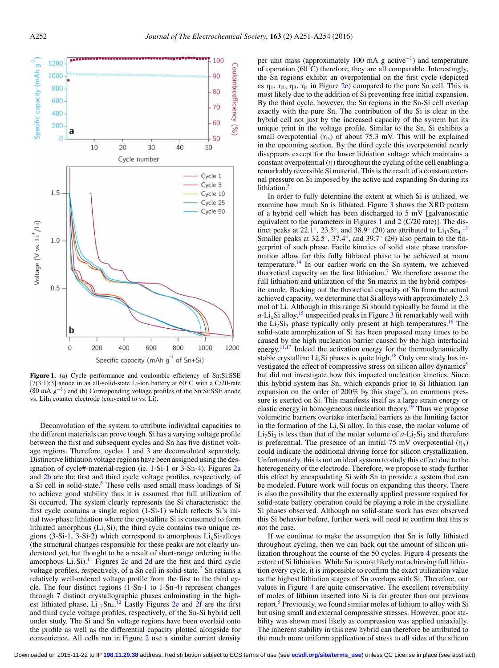<span id="page-1-0"></span>

**Figure 1.** (a) Cycle performance and coulombic efficiency of Sn:Si:SSE [7(3:1):3] anode in an all-solid-state Li-ion battery at 60°C with a C/20-rate  $(80 \text{ mA } g^{-1})$  and (b) Corresponding voltage profiles of the Sn:Si:SSE anode vs. LiIn counter electrode (converted to vs. Li).

Deconvolution of the system to attribute individual capacities to the different materials can prove tough. Si has a varying voltage profile between the first and subsequent cycles and Sn has five distinct voltage regions. Therefore, cycles 1 and 3 are deconvoluted separately. Distinctive lithiation voltage regions have been assigned using the designation of cycle#-material-region (ie. 1-Si-1 or 3-Sn-4). Figures [2a](#page-2-0) and [2b](#page-2-0) are the first and third cycle voltage profiles, respectively, of a Si cell in solid-state.<sup>5</sup> These cells used small mass loadings of Si to achieve good stability thus it is assumed that full utilization of Si occurred. The system clearly represents the Si characteristic: the first cycle contains a single region (1-Si-1) which reflects Si's initial two-phase lithiation where the crystalline Si is consumed to form lithiated amorphous  $(L_i, Si)$ , the third cycle contains two unique regions  $(3-Si-1, 3-Si-2)$  which correspond to amorphous  $Li<sub>x</sub>Si-alloys$ (the structural changes responsible for these peaks are not clearly understood yet, but thought to be a result of short-range ordering in the amorphous  $Li_xSi$ ).<sup>11</sup> Figures [2c](#page-2-0) and [2d](#page-2-0) are the first and third cycle voltage profiles, respectively, of a Sn cell in solid-state.<sup>7</sup> Sn retains a relatively well-ordered voltage profile from the first to the third cycle. The four distinct regions (1-Sn-1 to 1-Sn-4) represent changes through 7 distinct crystallographic phases culminating in the highest lithiated phase,  $Li_{17}Sn_{4}$ .<sup>[12](#page-3-11)</sup> Lastly Figures [2e](#page-2-0) and [2f](#page-2-0) are the first and third cycle voltage profiles, respectively, of the Sn-Si hybrid cell under study. The Si and Sn voltage regions have been overlaid onto the profile as well as the differential capacity plotted alongside for convenience. All cells run in Figure [2](#page-2-0) use a similar current density

per unit mass (approximately 100 mA g active−1) and temperature of operation (60◦C) therefore, they are all comparable. Interestingly, the Sn regions exhibit an overpotential on the first cycle (depicted as  $\eta_1$ ,  $\eta_2$ ,  $\eta_3$ ,  $\eta_4$  in Figure [2e\)](#page-2-0) compared to the pure Sn cell. This is most likely due to the addition of Si preventing free initial expansion. By the third cycle, however, the Sn regions in the Sn-Si cell overlap exactly with the pure Sn. The contribution of the Si is clear in the hybrid cell not just by the increased capacity of the system but its unique print in the voltage profile. Similar to the Sn, Si exhibits a small overpotential  $(\eta_5)$  of about 75.3 mV. This will be explained in the upcoming section. By the third cycle this overpotential nearly disappears except for the lower lithiation voltage which maintains a constant overpotential  $(\eta)$  throughout the cycling of the cell enabling a remarkably reversible Si material. This is the result of a constant external pressure on Si imposed by the active and expanding Sn during its lithiation.<sup>[5](#page-3-4)</sup>

In order to fully determine the extent at which Si is utilized, we examine how much Sn is lithiated. Figure [3](#page-3-12) shows the XRD pattern of a hybrid cell which has been discharged to 5 mV [galvanostatic equivalent to the parameters in Figures [1](#page-1-0) and  $2$  (C/20 rate)]. The distinct peaks at 22.1 $\degree$ , 23.5 $\degree$ , and 38.9 $\degree$  (20) are attributed to Li<sub>17</sub>Sn<sub>4</sub>.<sup>[13](#page-3-13)</sup> Smaller peaks at 32.5<sup>°</sup>, 37.4<sup>°</sup>, and 39.7<sup>°</sup> (2θ) also pertain to the fingerprint of such phase. Facile kinetics of solid state phase transformation allow for this fully lithiated phase to be achieved at room temperature.<sup>[14](#page-3-14)</sup> In our earlier work on the Sn system, we achieved theoretical capacity on the first lithiation.<sup>[7](#page-3-6)</sup> We therefore assume the full lithiation and utilization of the Sn matrix in the hybrid composite anode. Backing out the theoretical capacity of Sn from the actual achieved capacity, we determine that Si alloys with approximately 2.3 mol of Li. Although in this range Si should typically be found in the  $a$ -Li<sub>x</sub>Si alloy,<sup>15</sup> unspecified peaks in Figure [3](#page-3-12) fit remarkably well with the  $Li_7Si_3$  phase typically only present at high temperatures.<sup>16</sup> The solid-state amorphization of Si has been proposed many times to be caused by the high nucleation barrier caused by the high interfacial energy.<sup>11,[17](#page-3-17)</sup> Indeed the activation energy for the thermodynamically stable crystalline  $Li_xSi$  phases is quite high.<sup>18</sup> Only one study has investigated the effect of compressive stress on silicon alloy dynamics<sup>5</sup> but did not investigate how this impacted nucleation kinetics. Since this hybrid system has Sn, which expands prior to Si lithiation (an expansion on the order of 200% by this stage<sup>7</sup>), an enormous pressure is exerted on Si. This manifests itself as a large strain energy or elastic energy in homogeneous nucleation theory.<sup>19</sup> Thus we propose volumetric barriers overtake interfacial barriers as the limiting factor in the formation of the  $Li<sub>x</sub>Si$  alloy. In this case, the molar volume of  $Li<sub>7</sub>Si<sub>3</sub>$  is less than that of the molar volume of  $a$ -Li<sub>7</sub>Si<sub>3</sub> and therefore is preferential. The presence of an initial 75 mV overpotential  $(\eta_5)$ could indicate the additional driving force for silicon crystallization. Unfortunately, this is not an ideal system to study this effect due to the heterogeneity of the electrode. Therefore, we propose to study further this effect by encapsulating Si with Sn to provide a system that can be modeled. Future work will focus on expanding this theory. There is also the possibility that the externally applied pressure required for solid-state battery operation could be playing a role in the crystalline Si phases observed. Although no solid-state work has ever observed this Si behavior before, further work will need to confirm that this is not the case.

If we continue to make the assumption that Sn is fully lithiated throughout cycling, then we can back out the amount of silicon utilization throughout the course of the 50 cycles. Figure [4](#page-3-20) presents the extent of Si lithiation. While Sn is most likely not achieving full lithiation every cycle, it is impossible to confirm the exact utilization value as the highest lithiation stages of Sn overlaps with Si. Therefore, our values in Figure [4](#page-3-20) are quite conservative. The excellent reversibility of moles of lithium inserted into Si is far greater than our previous report.<sup>5</sup> Previously, we found similar moles of lithium to alloy with Si but using small and external compressive stresses. However, poor stability was shown most likely as compression was applied uniaxially. The inherent stability in this new hybrid can therefore be attributed to the much more uniform application of stress to all sides of the silicon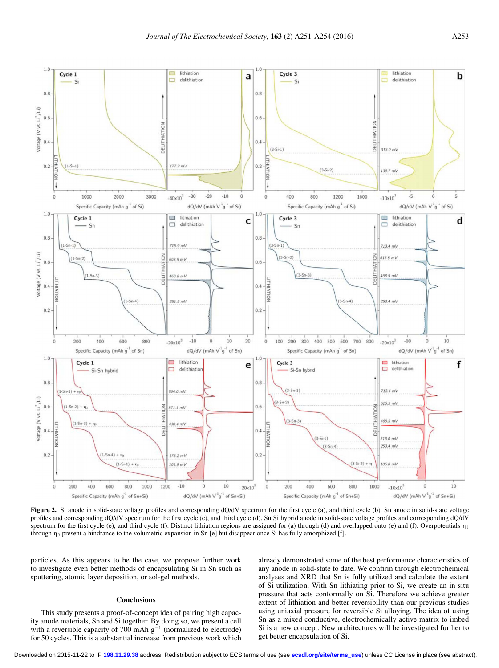<span id="page-2-0"></span>

Figure 2. Si anode in solid-state voltage profiles and corresponding dQ/dV spectrum for the first cycle (a), and third cycle (b). Sn anode in solid-state voltage profiles and corresponding dQ/dV spectrum for the first cycle (c), and third cycle (d). Sn:Si hybrid anode in solid-state voltage profiles and corresponding dQ/dV spectrum for the first cycle (e), and third cycle (f). Distinct lithiation regions are assigned for (a) through (d) and overlapped onto (e) and (f). Overpotentials  $\eta_1$ through η<sup>5</sup> present a hindrance to the volumetric expansion in Sn [e] but disappear once Si has fully amorphized [f].

particles. As this appears to be the case, we propose further work to investigate even better methods of encapsulating Si in Sn such as sputtering, atomic layer deposition, or sol-gel methods.

### **Conclusions**

This study presents a proof-of-concept idea of pairing high capacity anode materials, Sn and Si together. By doing so, we present a cell with a reversible capacity of 700 mAh  $g^{-1}$  (normalized to electrode) for 50 cycles. This is a substantial increase from previous work which already demonstrated some of the best performance characteristics of any anode in solid-state to date. We confirm through electrochemical analyses and XRD that Sn is fully utilized and calculate the extent of Si utilization. With Sn lithiating prior to Si, we create an in situ pressure that acts conformally on Si. Therefore we achieve greater extent of lithiation and better reversibility than our previous studies using uniaxial pressure for reversible Si alloying. The idea of using Sn as a mixed conductive, electrochemically active matrix to imbed Si is a new concept. New architectures will be investigated further to get better encapsulation of Si.